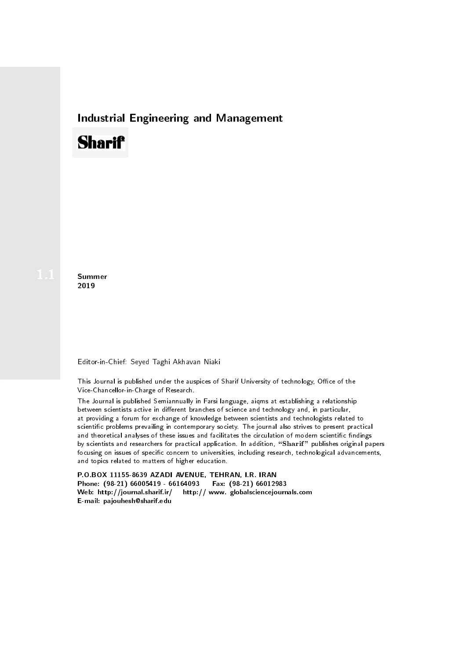## Industrial Engineering and Management

# **Sharif**

**Summer** 2019

#### Editor-in-Chief: Seyed Taghi Akhavan Niaki

This Journal is published under the auspices of Sharif University of technology, Office of the Vice-Chancellor-in-Charge of Research.

The Journal is published Semiannually in Farsi language, aiqms at establishing a relationship between scientists active in different branches of science and technology and, in particular, at providing a forum for exchange of knowledge between scientists and technologists related to scientic problems prevailing in contemporary society. The journal also strives to present practical and theoretical analyses of these issues and facilitates the circulation of modern scientific findings by scientists and researchers for practical application. In addition, "Sharif" publishes original papers focusing on issues of specific concern to universities, including research, technological advancements, and topics related to matters of higher education.

P.O.BOX 11155-8639 AZADI AVENUE, TEHRAN, I.R. IRAN Phone: (98-21) 66005419 - 66164093 Fax: (98-21) 66012983 Web: http://journal.sharif.ir/ http:// www. globalsciencejournals.com E-mail: pajouhesh@sharif.edu